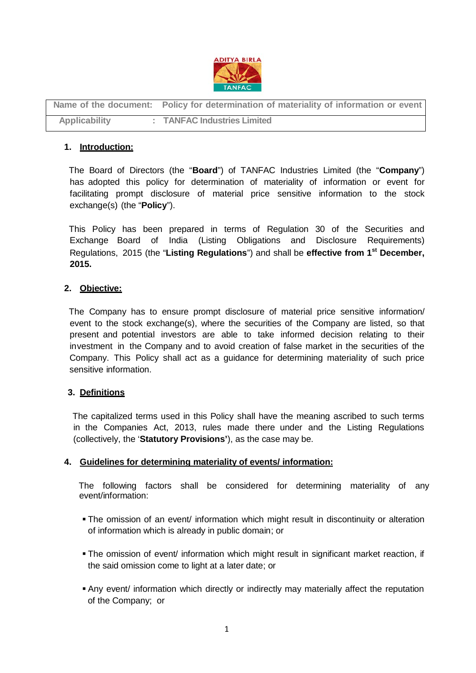

**Name of the document: Policy for determination of materiality of information or event Applicability : TANFAC Industries Limited**

# **1. Introduction:**

 The Board of Directors (the "**Board**") of TANFAC Industries Limited (the "**Company**") has adopted this policy for determination of materiality of information or event for facilitating prompt disclosure of material price sensitive information to the stock exchange(s) (the "**Policy**").

 This Policy has been prepared in terms of Regulation 30 of the Securities and Exchange Board of India (Listing Obligations and Disclosure Requirements) Regulations, 2015 (the "**Listing Regulations**") and shall be **effective from 1st December, 2015.**

## **2. Objective:**

 The Company has to ensure prompt disclosure of material price sensitive information/ event to the stock exchange(s), where the securities of the Company are listed, so that present and potential investors are able to take informed decision relating to their investment in the Company and to avoid creation of false market in the securities of the Company. This Policy shall act as a guidance for determining materiality of such price sensitive information.

### **3. Definitions**

 The capitalized terms used in this Policy shall have the meaning ascribed to such terms in the Companies Act, 2013, rules made there under and the Listing Regulations (collectively, the '**Statutory Provisions'**), as the case may be.

### **4. Guidelines for determining materiality of events/ information:**

 The following factors shall be considered for determining materiality of any event/information:

- The omission of an event/ information which might result in discontinuity or alteration of information which is already in public domain; or
- The omission of event/ information which might result in significant market reaction, if the said omission come to light at a later date; or
- Any event/ information which directly or indirectly may materially affect the reputation of the Company; or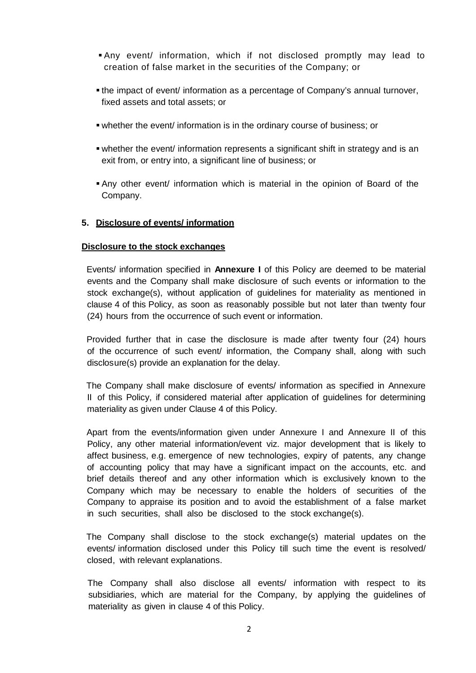- Any event/ information, which if not disclosed promptly may lead to creation of false market in the securities of the Company; or
- the impact of event/ information as a percentage of Company's annual turnover, fixed assets and total assets; or
- whether the event/ information is in the ordinary course of business; or
- whether the event/ information represents a significant shift in strategy and is an exit from, or entry into, a significant line of business; or
- Any other event/ information which is material in the opinion of Board of the Company.

## **5. Disclosure of events/ information**

#### **Disclosure to the stock exchanges**

 Events/ information specified in **Annexure I** of this Policy are deemed to be material events and the Company shall make disclosure of such events or information to the stock exchange(s), without application of guidelines for materiality as mentioned in clause 4 of this Policy, as soon as reasonably possible but not later than twenty four (24) hours from the occurrence of such event or information.

 Provided further that in case the disclosure is made after twenty four (24) hours of the occurrence of such event/ information, the Company shall, along with such disclosure(s) provide an explanation for the delay.

 The Company shall make disclosure of events/ information as specified in Annexure II of this Policy, if considered material after application of guidelines for determining materiality as given under Clause 4 of this Policy.

 Apart from the events/information given under Annexure I and Annexure II of this Policy, any other material information/event viz. major development that is likely to affect business, e.g. emergence of new technologies, expiry of patents, any change of accounting policy that may have a significant impact on the accounts, etc. and brief details thereof and any other information which is exclusively known to the Company which may be necessary to enable the holders of securities of the Company to appraise its position and to avoid the establishment of a false market in such securities, shall also be disclosed to the stock exchange(s).

 The Company shall disclose to the stock exchange(s) material updates on the events/ information disclosed under this Policy till such time the event is resolved/ closed, with relevant explanations.

 The Company shall also disclose all events/ information with respect to its subsidiaries, which are material for the Company, by applying the guidelines of materiality as given in clause 4 of this Policy.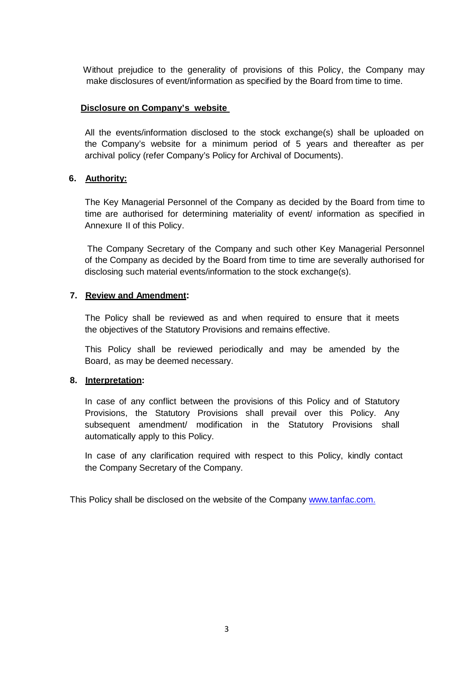Without prejudice to the generality of provisions of this Policy, the Company may make disclosures of event/information as specified by the Board from time to time.

### **Disclosure on Company's website**

All the events/information disclosed to the stock exchange(s) shall be uploaded on the Company's website for a minimum period of 5 years and thereafter as per archival policy (refer Company's Policy for Archival of Documents).

## **6. Authority:**

The Key Managerial Personnel of the Company as decided by the Board from time to time are authorised for determining materiality of event/ information as specified in Annexure II of this Policy.

The Company Secretary of the Company and such other Key Managerial Personnel of the Company as decided by the Board from time to time are severally authorised for disclosing such material events/information to the stock exchange(s).

## **7. Review and Amendment:**

The Policy shall be reviewed as and when required to ensure that it meets the objectives of the Statutory Provisions and remains effective.

This Policy shall be reviewed periodically and may be amended by the Board, as may be deemed necessary.

### **8. Interpretation:**

In case of any conflict between the provisions of this Policy and of Statutory Provisions, the Statutory Provisions shall prevail over this Policy. Any subsequent amendment/ modification in the Statutory Provisions shall automatically apply to this Policy.

In case of any clarification required with respect to this Policy, kindly contact the Company Secretary of the Company.

This Policy shall be disclosed on the website of the Company [www.tanfac.com.](http://www.tanfac.com./)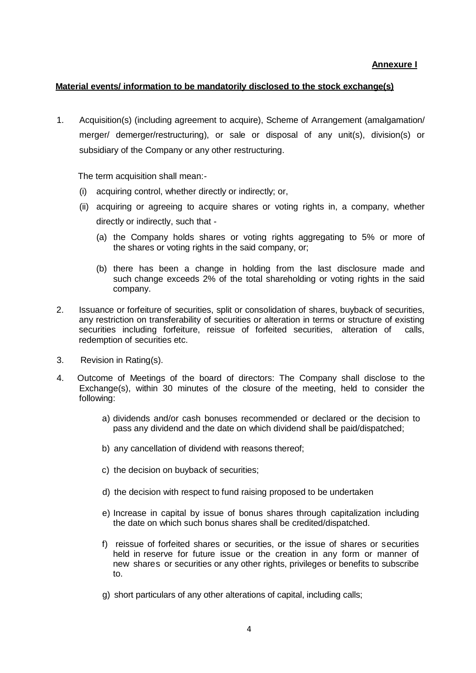#### **Annexure I**

#### **Material events/ information to be mandatorily disclosed to the stock exchange(s)**

1. Acquisition(s) (including agreement to acquire), Scheme of Arrangement (amalgamation/ merger/ demerger/restructuring), or sale or disposal of any unit(s), division(s) or subsidiary of the Company or any other restructuring.

The term acquisition shall mean:-

- (i) acquiring control, whether directly or indirectly; or,
- (ii) acquiring or agreeing to acquire shares or voting rights in, a company, whether directly or indirectly, such that -
	- (a) the Company holds shares or voting rights aggregating to 5% or more of the shares or voting rights in the said company, or;
	- (b) there has been a change in holding from the last disclosure made and such change exceeds 2% of the total shareholding or voting rights in the said company.
- 2. Issuance or forfeiture of securities, split or consolidation of shares, buyback of securities, any restriction on transferability of securities or alteration in terms or structure of existing securities including forfeiture, reissue of forfeited securities, alteration of calls, redemption of securities etc.
- 3. Revision in Rating(s).
- 4. Outcome of Meetings of the board of directors: The Company shall disclose to the Exchange(s), within 30 minutes of the closure of the meeting, held to consider the following:
	- a) dividends and/or cash bonuses recommended or declared or the decision to pass any dividend and the date on which dividend shall be paid/dispatched;
	- b) any cancellation of dividend with reasons thereof;
	- c) the decision on buyback of securities;
	- d) the decision with respect to fund raising proposed to be undertaken
	- e) Increase in capital by issue of bonus shares through capitalization including the date on which such bonus shares shall be credited/dispatched.
	- f) reissue of forfeited shares or securities, or the issue of shares or securities held in reserve for future issue or the creation in any form or manner of new shares or securities or any other rights, privileges or benefits to subscribe to.
	- g) short particulars of any other alterations of capital, including calls;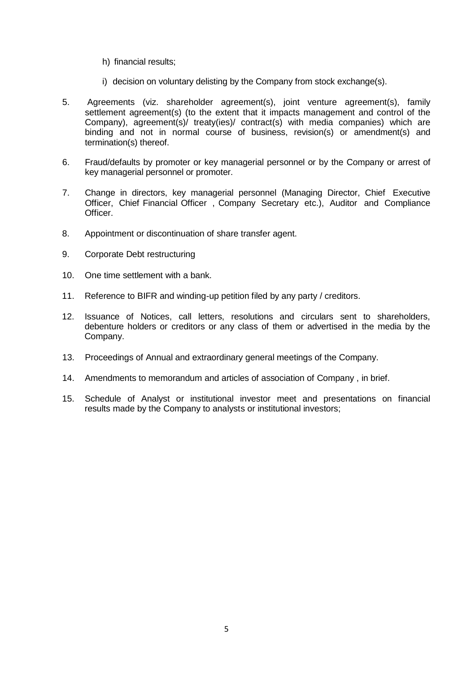- h) financial results;
- i) decision on voluntary delisting by the Company from stock exchange(s).
- 5. Agreements (viz. shareholder agreement(s), joint venture agreement(s), family settlement agreement(s) (to the extent that it impacts management and control of the Company), agreement(s)/ treaty(ies)/ contract(s) with media companies) which are binding and not in normal course of business, revision(s) or amendment(s) and termination(s) thereof.
- 6. Fraud/defaults by promoter or key managerial personnel or by the Company or arrest of key managerial personnel or promoter.
- 7. Change in directors, key managerial personnel (Managing Director, Chief Executive Officer, Chief Financial Officer , Company Secretary etc.), Auditor and Compliance Officer.
- 8. Appointment or discontinuation of share transfer agent.
- 9. Corporate Debt restructuring
- 10. One time settlement with a bank.
- 11. Reference to BIFR and winding-up petition filed by any party / creditors.
- 12. Issuance of Notices, call letters, resolutions and circulars sent to shareholders, debenture holders or creditors or any class of them or advertised in the media by the Company.
- 13. Proceedings of Annual and extraordinary general meetings of the Company.
- 14. Amendments to memorandum and articles of association of Company , in brief.
- 15. Schedule of Analyst or institutional investor meet and presentations on financial results made by the Company to analysts or institutional investors;